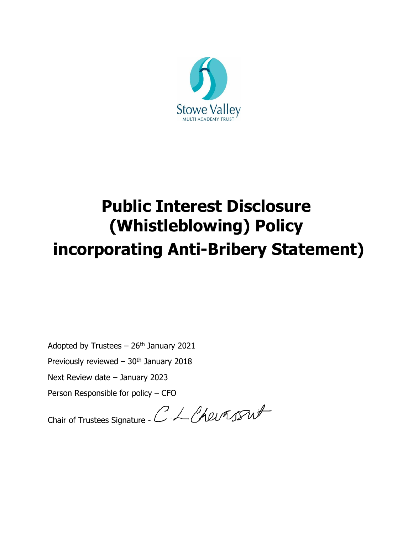

# **Public Interest Disclosure (Whistleblowing) Policy incorporating Anti-Bribery Statement)**

Adopted by Trustees  $-26$ <sup>th</sup> January 2021

Previously reviewed  $-30<sup>th</sup>$  January 2018

Next Review date – January 2023

Person Responsible for policy – CFO

Chair of Trustees Signature - C. L. Chevassut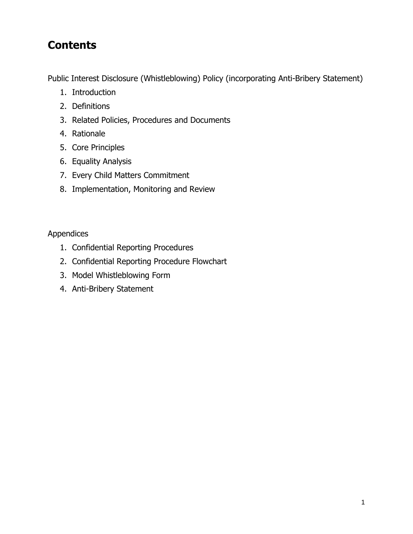# **Contents**

Public Interest Disclosure (Whistleblowing) Policy (incorporating Anti-Bribery Statement)

- 1. Introduction
- 2. Definitions
- 3. Related Policies, Procedures and Documents
- 4. Rationale
- 5. Core Principles
- 6. Equality Analysis
- 7. Every Child Matters Commitment
- 8. Implementation, Monitoring and Review

Appendices

- 1. Confidential Reporting Procedures
- 2. Confidential Reporting Procedure Flowchart
- 3. Model Whistleblowing Form
- 4. Anti-Bribery Statement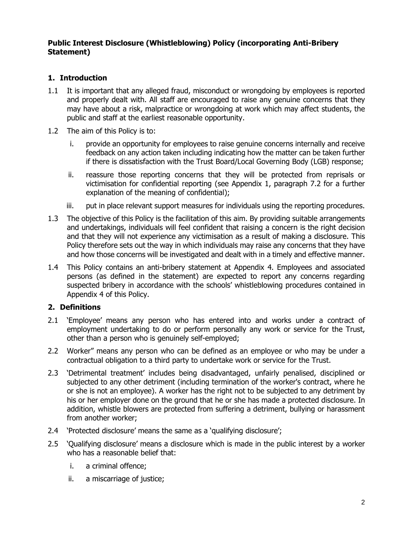#### **Public Interest Disclosure (Whistleblowing) Policy (incorporating Anti-Bribery Statement)**

# **1. Introduction**

- 1.1 It is important that any alleged fraud, misconduct or wrongdoing by employees is reported and properly dealt with. All staff are encouraged to raise any genuine concerns that they may have about a risk, malpractice or wrongdoing at work which may affect students, the public and staff at the earliest reasonable opportunity.
- 1.2 The aim of this Policy is to:
	- i. provide an opportunity for employees to raise genuine concerns internally and receive feedback on any action taken including indicating how the matter can be taken further if there is dissatisfaction with the Trust Board/Local Governing Body (LGB) response;
	- ii. reassure those reporting concerns that they will be protected from reprisals or victimisation for confidential reporting (see Appendix 1, paragraph 7.2 for a further explanation of the meaning of confidential);
	- iii. put in place relevant support measures for individuals using the reporting procedures.
- 1.3 The objective of this Policy is the facilitation of this aim. By providing suitable arrangements and undertakings, individuals will feel confident that raising a concern is the right decision and that they will not experience any victimisation as a result of making a disclosure. This Policy therefore sets out the way in which individuals may raise any concerns that they have and how those concerns will be investigated and dealt with in a timely and effective manner.
- 1.4 This Policy contains an anti-bribery statement at Appendix 4. Employees and associated persons (as defined in the statement) are expected to report any concerns regarding suspected bribery in accordance with the schools' whistleblowing procedures contained in Appendix 4 of this Policy.

#### **2. Definitions**

- 2.1 'Employee' means any person who has entered into and works under a contract of employment undertaking to do or perform personally any work or service for the Trust, other than a person who is genuinely self-employed;
- 2.2 Worker" means any person who can be defined as an employee or who may be under a contractual obligation to a third party to undertake work or service for the Trust.
- 2.3 'Detrimental treatment' includes being disadvantaged, unfairly penalised, disciplined or subjected to any other detriment (including termination of the worker's contract, where he or she is not an employee). A worker has the right not to be subjected to any detriment by his or her employer done on the ground that he or she has made a protected disclosure. In addition, whistle blowers are protected from suffering a detriment, bullying or harassment from another worker;
- 2.4 'Protected disclosure' means the same as a 'qualifying disclosure';
- 2.5 'Qualifying disclosure' means a disclosure which is made in the public interest by a worker who has a reasonable belief that:
	- i. a criminal offence;
	- ii. a miscarriage of justice;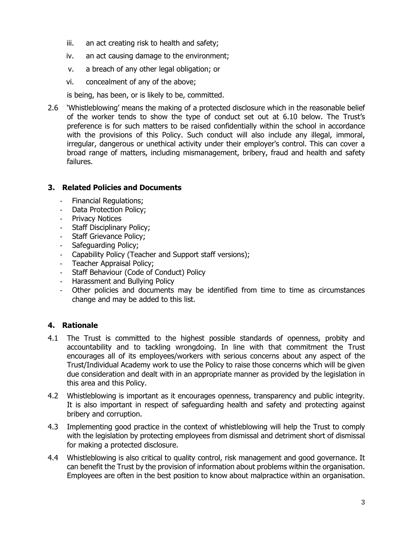- iii. an act creating risk to health and safety;
- iv. an act causing damage to the environment;
- v. a breach of any other legal obligation; or
- vi. concealment of any of the above;

is being, has been, or is likely to be, committed.

2.6 'Whistleblowing' means the making of a protected disclosure which in the reasonable belief of the worker tends to show the type of conduct set out at 6.10 below. The Trust's preference is for such matters to be raised confidentially within the school in accordance with the provisions of this Policy. Such conduct will also include any illegal, immoral, irregular, dangerous or unethical activity under their employer's control. This can cover a broad range of matters, including mismanagement, bribery, fraud and health and safety failures.

#### **3. Related Policies and Documents**

- Financial Regulations;
- Data Protection Policy;
- Privacy Notices
- Staff Disciplinary Policy;
- Staff Grievance Policy;
- Safeguarding Policy;
- Capability Policy (Teacher and Support staff versions);
- Teacher Appraisal Policy;
- Staff Behaviour (Code of Conduct) Policy
- Harassment and Bullying Policy
- Other policies and documents may be identified from time to time as circumstances change and may be added to this list.

# **4. Rationale**

- 4.1 The Trust is committed to the highest possible standards of openness, probity and accountability and to tackling wrongdoing. In line with that commitment the Trust encourages all of its employees/workers with serious concerns about any aspect of the Trust/Individual Academy work to use the Policy to raise those concerns which will be given due consideration and dealt with in an appropriate manner as provided by the legislation in this area and this Policy.
- 4.2 Whistleblowing is important as it encourages openness, transparency and public integrity. It is also important in respect of safeguarding health and safety and protecting against bribery and corruption.
- 4.3 Implementing good practice in the context of whistleblowing will help the Trust to comply with the legislation by protecting employees from dismissal and detriment short of dismissal for making a protected disclosure.
- 4.4 Whistleblowing is also critical to quality control, risk management and good governance. It can benefit the Trust by the provision of information about problems within the organisation. Employees are often in the best position to know about malpractice within an organisation.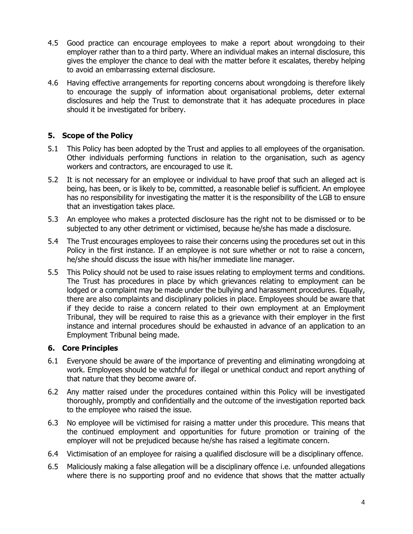- 4.5 Good practice can encourage employees to make a report about wrongdoing to their employer rather than to a third party. Where an individual makes an internal disclosure, this gives the employer the chance to deal with the matter before it escalates, thereby helping to avoid an embarrassing external disclosure.
- 4.6 Having effective arrangements for reporting concerns about wrongdoing is therefore likely to encourage the supply of information about organisational problems, deter external disclosures and help the Trust to demonstrate that it has adequate procedures in place should it be investigated for bribery.

## **5. Scope of the Policy**

- 5.1 This Policy has been adopted by the Trust and applies to all employees of the organisation. Other individuals performing functions in relation to the organisation, such as agency workers and contractors, are encouraged to use it.
- 5.2 It is not necessary for an employee or individual to have proof that such an alleged act is being, has been, or is likely to be, committed, a reasonable belief is sufficient. An employee has no responsibility for investigating the matter it is the responsibility of the LGB to ensure that an investigation takes place.
- 5.3 An employee who makes a protected disclosure has the right not to be dismissed or to be subjected to any other detriment or victimised, because he/she has made a disclosure.
- 5.4 The Trust encourages employees to raise their concerns using the procedures set out in this Policy in the first instance. If an employee is not sure whether or not to raise a concern, he/she should discuss the issue with his/her immediate line manager.
- 5.5 This Policy should not be used to raise issues relating to employment terms and conditions. The Trust has procedures in place by which grievances relating to employment can be lodged or a complaint may be made under the bullying and harassment procedures. Equally, there are also complaints and disciplinary policies in place. Employees should be aware that if they decide to raise a concern related to their own employment at an Employment Tribunal, they will be required to raise this as a grievance with their employer in the first instance and internal procedures should be exhausted in advance of an application to an Employment Tribunal being made.

#### **6. Core Principles**

- 6.1 Everyone should be aware of the importance of preventing and eliminating wrongdoing at work. Employees should be watchful for illegal or unethical conduct and report anything of that nature that they become aware of.
- 6.2 Any matter raised under the procedures contained within this Policy will be investigated thoroughly, promptly and confidentially and the outcome of the investigation reported back to the employee who raised the issue.
- 6.3 No employee will be victimised for raising a matter under this procedure. This means that the continued employment and opportunities for future promotion or training of the employer will not be prejudiced because he/she has raised a legitimate concern.
- 6.4 Victimisation of an employee for raising a qualified disclosure will be a disciplinary offence.
- 6.5 Maliciously making a false allegation will be a disciplinary offence i.e. unfounded allegations where there is no supporting proof and no evidence that shows that the matter actually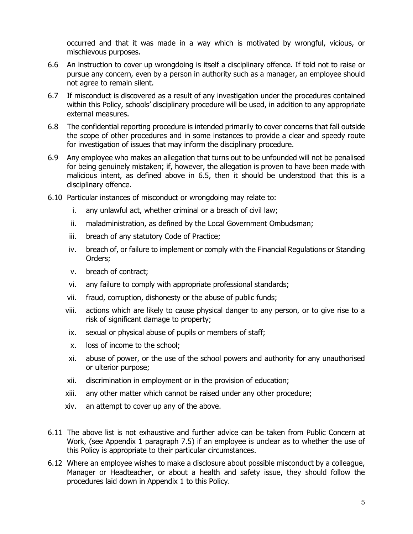occurred and that it was made in a way which is motivated by wrongful, vicious, or mischievous purposes.

- 6.6 An instruction to cover up wrongdoing is itself a disciplinary offence. If told not to raise or pursue any concern, even by a person in authority such as a manager, an employee should not agree to remain silent.
- 6.7 If misconduct is discovered as a result of any investigation under the procedures contained within this Policy, schools' disciplinary procedure will be used, in addition to any appropriate external measures.
- 6.8 The confidential reporting procedure is intended primarily to cover concerns that fall outside the scope of other procedures and in some instances to provide a clear and speedy route for investigation of issues that may inform the disciplinary procedure.
- 6.9 Any employee who makes an allegation that turns out to be unfounded will not be penalised for being genuinely mistaken; if, however, the allegation is proven to have been made with malicious intent, as defined above in 6.5, then it should be understood that this is a disciplinary offence.
- 6.10 Particular instances of misconduct or wrongdoing may relate to:
	- i. any unlawful act, whether criminal or a breach of civil law;
	- ii. maladministration, as defined by the Local Government Ombudsman;
	- iii. breach of any statutory Code of Practice;
	- iv. breach of, or failure to implement or comply with the Financial Regulations or Standing Orders;
	- v. breach of contract;
	- vi. any failure to comply with appropriate professional standards;
	- vii. fraud, corruption, dishonesty or the abuse of public funds;
	- viii. actions which are likely to cause physical danger to any person, or to give rise to a risk of significant damage to property;
	- ix. sexual or physical abuse of pupils or members of staff;
	- x. loss of income to the school;
	- xi. abuse of power, or the use of the school powers and authority for any unauthorised or ulterior purpose;
	- xii. discrimination in employment or in the provision of education;
	- xiii. any other matter which cannot be raised under any other procedure;
	- xiv. an attempt to cover up any of the above.
- 6.11 The above list is not exhaustive and further advice can be taken from Public Concern at Work, (see Appendix 1 paragraph 7.5) if an employee is unclear as to whether the use of this Policy is appropriate to their particular circumstances.
- 6.12 Where an employee wishes to make a disclosure about possible misconduct by a colleague, Manager or Headteacher, or about a health and safety issue, they should follow the procedures laid down in Appendix 1 to this Policy.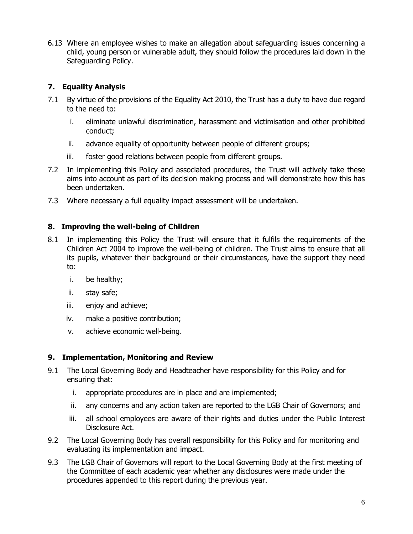6.13 Where an employee wishes to make an allegation about safeguarding issues concerning a child, young person or vulnerable adult, they should follow the procedures laid down in the Safeguarding Policy.

# **7. Equality Analysis**

- 7.1 By virtue of the provisions of the Equality Act 2010, the Trust has a duty to have due regard to the need to:
	- i. eliminate unlawful discrimination, harassment and victimisation and other prohibited conduct;
	- ii. advance equality of opportunity between people of different groups;
	- iii. foster good relations between people from different groups.
- 7.2 In implementing this Policy and associated procedures, the Trust will actively take these aims into account as part of its decision making process and will demonstrate how this has been undertaken.
- 7.3 Where necessary a full equality impact assessment will be undertaken.

#### **8. Improving the well-being of Children**

- 8.1 In implementing this Policy the Trust will ensure that it fulfils the requirements of the Children Act 2004 to improve the well-being of children. The Trust aims to ensure that all its pupils, whatever their background or their circumstances, have the support they need to:
	- i. be healthy;
	- ii. stay safe;
	- iii. enjoy and achieve;
	- iv. make a positive contribution;
	- v. achieve economic well-being.

#### **9. Implementation, Monitoring and Review**

- 9.1 The Local Governing Body and Headteacher have responsibility for this Policy and for ensuring that:
	- i. appropriate procedures are in place and are implemented;
	- ii. any concerns and any action taken are reported to the LGB Chair of Governors; and
	- iii. all school employees are aware of their rights and duties under the Public Interest Disclosure Act.
- 9.2 The Local Governing Body has overall responsibility for this Policy and for monitoring and evaluating its implementation and impact.
- 9.3 The LGB Chair of Governors will report to the Local Governing Body at the first meeting of the Committee of each academic year whether any disclosures were made under the procedures appended to this report during the previous year.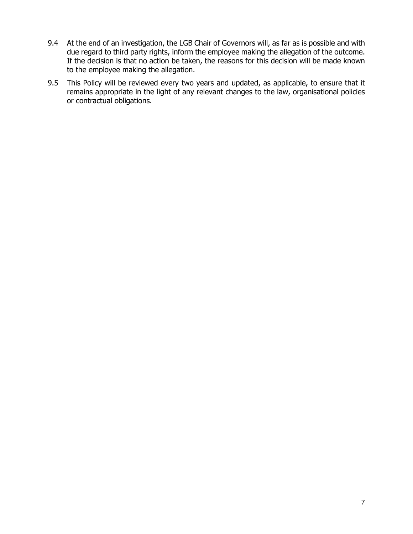- 9.4 At the end of an investigation, the LGB Chair of Governors will, as far as is possible and with due regard to third party rights, inform the employee making the allegation of the outcome. If the decision is that no action be taken, the reasons for this decision will be made known to the employee making the allegation.
- 9.5 This Policy will be reviewed every two years and updated, as applicable, to ensure that it remains appropriate in the light of any relevant changes to the law, organisational policies or contractual obligations.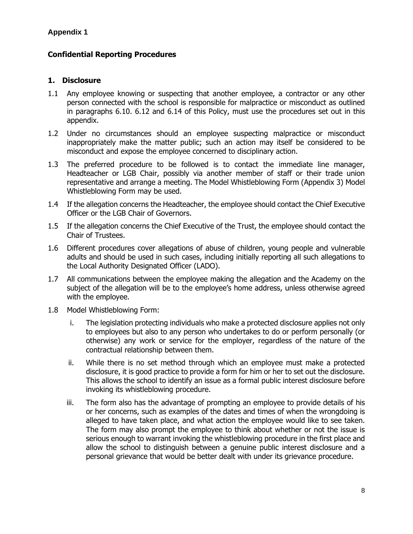## **Confidential Reporting Procedures**

#### **1. Disclosure**

- 1.1 Any employee knowing or suspecting that another employee, a contractor or any other person connected with the school is responsible for malpractice or misconduct as outlined in paragraphs 6.10. 6.12 and 6.14 of this Policy, must use the procedures set out in this appendix.
- 1.2 Under no circumstances should an employee suspecting malpractice or misconduct inappropriately make the matter public; such an action may itself be considered to be misconduct and expose the employee concerned to disciplinary action.
- 1.3 The preferred procedure to be followed is to contact the immediate line manager, Headteacher or LGB Chair, possibly via another member of staff or their trade union representative and arrange a meeting. The Model Whistleblowing Form (Appendix 3) Model Whistleblowing Form may be used.
- 1.4 If the allegation concerns the Headteacher, the employee should contact the Chief Executive Officer or the LGB Chair of Governors.
- 1.5 If the allegation concerns the Chief Executive of the Trust, the employee should contact the Chair of Trustees.
- 1.6 Different procedures cover allegations of abuse of children, young people and vulnerable adults and should be used in such cases, including initially reporting all such allegations to the Local Authority Designated Officer (LADO).
- 1.7 All communications between the employee making the allegation and the Academy on the subject of the allegation will be to the employee's home address, unless otherwise agreed with the employee.
- 1.8 Model Whistleblowing Form:
	- i. The legislation protecting individuals who make a protected disclosure applies not only to employees but also to any person who undertakes to do or perform personally (or otherwise) any work or service for the employer, regardless of the nature of the contractual relationship between them.
	- ii. While there is no set method through which an employee must make a protected disclosure, it is good practice to provide a form for him or her to set out the disclosure. This allows the school to identify an issue as a formal public interest disclosure before invoking its whistleblowing procedure.
	- iii. The form also has the advantage of prompting an employee to provide details of his or her concerns, such as examples of the dates and times of when the wrongdoing is alleged to have taken place, and what action the employee would like to see taken. The form may also prompt the employee to think about whether or not the issue is serious enough to warrant invoking the whistleblowing procedure in the first place and allow the school to distinguish between a genuine public interest disclosure and a personal grievance that would be better dealt with under its grievance procedure.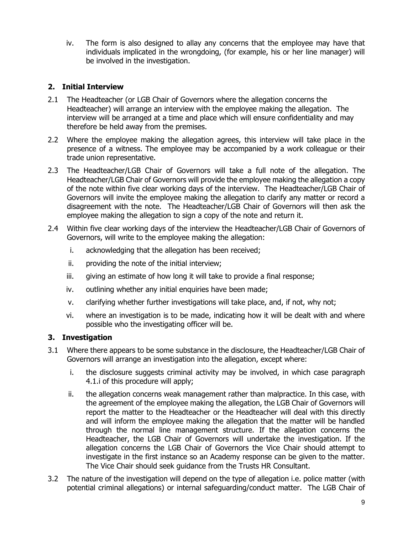iv. The form is also designed to allay any concerns that the employee may have that individuals implicated in the wrongdoing, (for example, his or her line manager) will be involved in the investigation.

# **2. Initial Interview**

- 2.1 The Headteacher (or LGB Chair of Governors where the allegation concerns the Headteacher) will arrange an interview with the employee making the allegation. The interview will be arranged at a time and place which will ensure confidentiality and may therefore be held away from the premises.
- 2.2 Where the employee making the allegation agrees, this interview will take place in the presence of a witness. The employee may be accompanied by a work colleague or their trade union representative.
- 2.3 The Headteacher/LGB Chair of Governors will take a full note of the allegation. The Headteacher/LGB Chair of Governors will provide the employee making the allegation a copy of the note within five clear working days of the interview. The Headteacher/LGB Chair of Governors will invite the employee making the allegation to clarify any matter or record a disagreement with the note. The Headteacher/LGB Chair of Governors will then ask the employee making the allegation to sign a copy of the note and return it.
- 2.4 Within five clear working days of the interview the Headteacher/LGB Chair of Governors of Governors, will write to the employee making the allegation:
	- i. acknowledging that the allegation has been received;
	- ii. providing the note of the initial interview;
	- iii. giving an estimate of how long it will take to provide a final response;
	- iv. outlining whether any initial enquiries have been made;
	- v. clarifying whether further investigations will take place, and, if not, why not;
	- vi. where an investigation is to be made, indicating how it will be dealt with and where possible who the investigating officer will be.

#### **3. Investigation**

- 3.1 Where there appears to be some substance in the disclosure, the Headteacher/LGB Chair of Governors will arrange an investigation into the allegation, except where:
	- i. the disclosure suggests criminal activity may be involved, in which case paragraph 4.1.i of this procedure will apply;
	- ii. the allegation concerns weak management rather than malpractice. In this case, with the agreement of the employee making the allegation, the LGB Chair of Governors will report the matter to the Headteacher or the Headteacher will deal with this directly and will inform the employee making the allegation that the matter will be handled through the normal line management structure. If the allegation concerns the Headteacher, the LGB Chair of Governors will undertake the investigation. If the allegation concerns the LGB Chair of Governors the Vice Chair should attempt to investigate in the first instance so an Academy response can be given to the matter. The Vice Chair should seek guidance from the Trusts HR Consultant.
- 3.2 The nature of the investigation will depend on the type of allegation i.e. police matter (with potential criminal allegations) or internal safeguarding/conduct matter. The LGB Chair of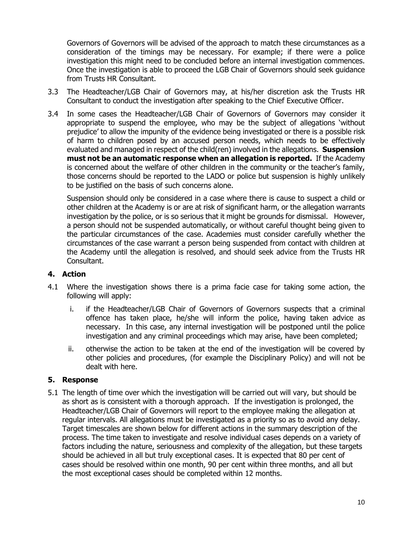Governors of Governors will be advised of the approach to match these circumstances as a consideration of the timings may be necessary. For example; if there were a police investigation this might need to be concluded before an internal investigation commences. Once the investigation is able to proceed the LGB Chair of Governors should seek guidance from Trusts HR Consultant.

- 3.3 The Headteacher/LGB Chair of Governors may, at his/her discretion ask the Trusts HR Consultant to conduct the investigation after speaking to the Chief Executive Officer.
- 3.4 In some cases the Headteacher/LGB Chair of Governors of Governors may consider it appropriate to suspend the employee, who may be the subject of allegations 'without prejudice' to allow the impunity of the evidence being investigated or there is a possible risk of harm to children posed by an accused person needs, which needs to be effectively evaluated and managed in respect of the child(ren) involved in the allegations. **Suspension must not be an automatic response when an allegation is reported.** If the Academy is concerned about the welfare of other children in the community or the teacher's family, those concerns should be reported to the LADO or police but suspension is highly unlikely to be justified on the basis of such concerns alone.

Suspension should only be considered in a case where there is cause to suspect a child or other children at the Academy is or are at risk of significant harm, or the allegation warrants investigation by the police, or is so serious that it might be grounds for dismissal. However, a person should not be suspended automatically, or without careful thought being given to the particular circumstances of the case. Academies must consider carefully whether the circumstances of the case warrant a person being suspended from contact with children at the Academy until the allegation is resolved, and should seek advice from the Trusts HR Consultant.

#### **4. Action**

- 4.1 Where the investigation shows there is a prima facie case for taking some action, the following will apply:
	- i. if the Headteacher/LGB Chair of Governors of Governors suspects that a criminal offence has taken place, he/she will inform the police, having taken advice as necessary. In this case, any internal investigation will be postponed until the police investigation and any criminal proceedings which may arise, have been completed;
	- ii. otherwise the action to be taken at the end of the investigation will be covered by other policies and procedures, (for example the Disciplinary Policy) and will not be dealt with here.

#### **5. Response**

5.1 The length of time over which the investigation will be carried out will vary, but should be as short as is consistent with a thorough approach. If the investigation is prolonged, the Headteacher/LGB Chair of Governors will report to the employee making the allegation at regular intervals. All allegations must be investigated as a priority so as to avoid any delay. Target timescales are shown below for different actions in the summary description of the process. The time taken to investigate and resolve individual cases depends on a variety of factors including the nature, seriousness and complexity of the allegation, but these targets should be achieved in all but truly exceptional cases. It is expected that 80 per cent of cases should be resolved within one month, 90 per cent within three months, and all but the most exceptional cases should be completed within 12 months.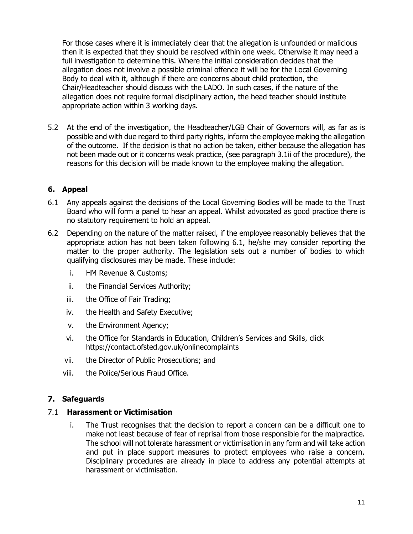For those cases where it is immediately clear that the allegation is unfounded or malicious then it is expected that they should be resolved within one week. Otherwise it may need a full investigation to determine this. Where the initial consideration decides that the allegation does not involve a possible criminal offence it will be for the Local Governing Body to deal with it, although if there are concerns about child protection, the Chair/Headteacher should discuss with the LADO. In such cases, if the nature of the allegation does not require formal disciplinary action, the head teacher should institute appropriate action within 3 working days.

5.2 At the end of the investigation, the Headteacher/LGB Chair of Governors will, as far as is possible and with due regard to third party rights, inform the employee making the allegation of the outcome. If the decision is that no action be taken, either because the allegation has not been made out or it concerns weak practice, (see paragraph 3.1ii of the procedure), the reasons for this decision will be made known to the employee making the allegation.

#### **6. Appeal**

- 6.1 Any appeals against the decisions of the Local Governing Bodies will be made to the Trust Board who will form a panel to hear an appeal. Whilst advocated as good practice there is no statutory requirement to hold an appeal.
- 6.2 Depending on the nature of the matter raised, if the employee reasonably believes that the appropriate action has not been taken following 6.1, he/she may consider reporting the matter to the proper authority. The legislation sets out a number of bodies to which qualifying disclosures may be made. These include:
	- i. HM Revenue & Customs;
	- ii. the Financial Services Authority;
	- iii. the Office of Fair Trading;
	- iv. the Health and Safety Executive;
	- v. the Environment Agency;
	- vi. the Office for Standards in Education, Children's Services and Skills, click https://contact.ofsted.gov.uk/onlinecomplaints
	- vii. the Director of Public Prosecutions; and
	- viii. the Police/Serious Fraud Office.

#### **7. Safeguards**

#### 7.1 **Harassment or Victimisation**

i. The Trust recognises that the decision to report a concern can be a difficult one to make not least because of fear of reprisal from those responsible for the malpractice. The school will not tolerate harassment or victimisation in any form and will take action and put in place support measures to protect employees who raise a concern. Disciplinary procedures are already in place to address any potential attempts at harassment or victimisation.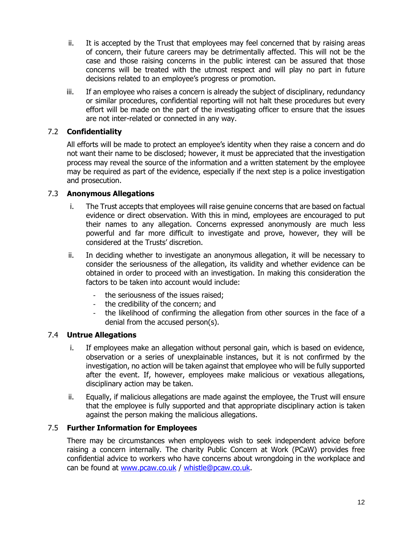- ii. It is accepted by the Trust that employees may feel concerned that by raising areas of concern, their future careers may be detrimentally affected. This will not be the case and those raising concerns in the public interest can be assured that those concerns will be treated with the utmost respect and will play no part in future decisions related to an employee's progress or promotion.
- iii. If an employee who raises a concern is already the subject of disciplinary, redundancy or similar procedures, confidential reporting will not halt these procedures but every effort will be made on the part of the investigating officer to ensure that the issues are not inter-related or connected in any way.

#### 7.2 **Confidentiality**

All efforts will be made to protect an employee's identity when they raise a concern and do not want their name to be disclosed; however, it must be appreciated that the investigation process may reveal the source of the information and a written statement by the employee may be required as part of the evidence, especially if the next step is a police investigation and prosecution.

#### 7.3 **Anonymous Allegations**

- i. The Trust accepts that employees will raise genuine concerns that are based on factual evidence or direct observation. With this in mind, employees are encouraged to put their names to any allegation. Concerns expressed anonymously are much less powerful and far more difficult to investigate and prove, however, they will be considered at the Trusts' discretion.
- ii. In deciding whether to investigate an anonymous allegation, it will be necessary to consider the seriousness of the allegation, its validity and whether evidence can be obtained in order to proceed with an investigation. In making this consideration the factors to be taken into account would include:
	- the seriousness of the issues raised;
	- the credibility of the concern; and
	- the likelihood of confirming the allegation from other sources in the face of a denial from the accused person(s).

#### 7.4 **Untrue Allegations**

- i. If employees make an allegation without personal gain, which is based on evidence, observation or a series of unexplainable instances, but it is not confirmed by the investigation, no action will be taken against that employee who will be fully supported after the event. If, however, employees make malicious or vexatious allegations, disciplinary action may be taken.
- ii. Equally, if malicious allegations are made against the employee, the Trust will ensure that the employee is fully supported and that appropriate disciplinary action is taken against the person making the malicious allegations.

#### 7.5 **Further Information for Employees**

There may be circumstances when employees wish to seek independent advice before raising a concern internally. The charity Public Concern at Work (PCaW) provides free confidential advice to workers who have concerns about wrongdoing in the workplace and can be found at [www.pcaw.co.uk](http://www.pcaw.co.uk/) / [whistle@pcaw.co.uk.](mailto:whistle@pcaw.co.uk)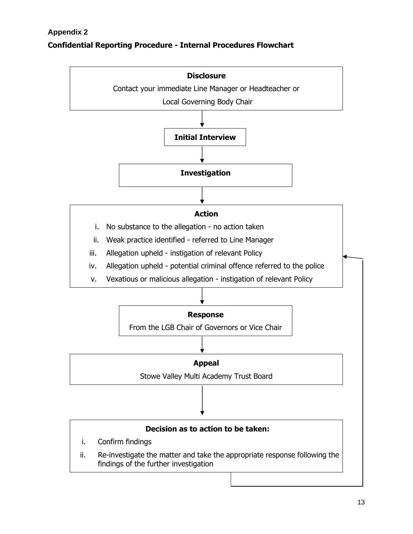# **Confidential Reporting Procedure - Internal Procedures Flowchart**

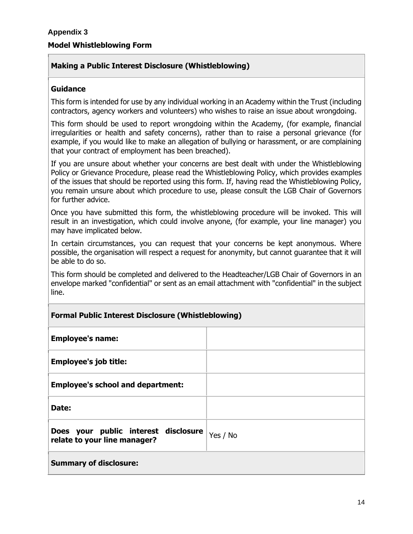# **Making a Public Interest Disclosure (Whistleblowing)**

#### **Guidance**

This form is intended for use by any individual working in an Academy within the Trust (including contractors, agency workers and volunteers) who wishes to raise an issue about wrongdoing.

This form should be used to report wrongdoing within the Academy, (for example, financial irregularities or health and safety concerns), rather than to raise a personal grievance (for example, if you would like to make an allegation of bullying or harassment, or are complaining that your contract of employment has been breached).

If you are unsure about whether your concerns are best dealt with under the Whistleblowing Policy or Grievance Procedure, please read the Whistleblowing Policy, which provides examples of the issues that should be reported using this form. If, having read the Whistleblowing Policy, you remain unsure about which procedure to use, please consult the LGB Chair of Governors for further advice.

Once you have submitted this form, the whistleblowing procedure will be invoked. This will result in an investigation, which could involve anyone, (for example, your line manager) you may have implicated below.

In certain circumstances, you can request that your concerns be kept anonymous. Where possible, the organisation will respect a request for anonymity, but cannot guarantee that it will be able to do so.

This form should be completed and delivered to the Headteacher/LGB Chair of Governors in an envelope marked "confidential" or sent as an email attachment with "confidential" in the subject line.

#### **Formal Public Interest Disclosure (Whistleblowing)**

| <b>Employee's name:</b>                                              |          |
|----------------------------------------------------------------------|----------|
| <b>Employee's job title:</b>                                         |          |
| <b>Employee's school and department:</b>                             |          |
| Date:                                                                |          |
| Does your public interest disclosure<br>relate to your line manager? | Yes / No |
| <b>Summary of disclosure:</b>                                        |          |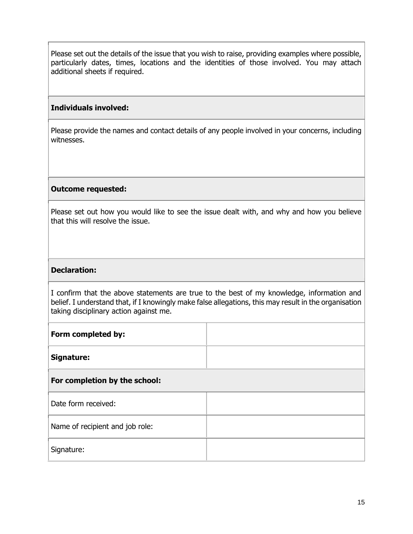Please set out the details of the issue that you wish to raise, providing examples where possible, particularly dates, times, locations and the identities of those involved. You may attach additional sheets if required.

#### **Individuals involved:**

Please provide the names and contact details of any people involved in your concerns, including witnesses.

#### **Outcome requested:**

Please set out how you would like to see the issue dealt with, and why and how you believe that this will resolve the issue.

#### **Declaration:**

I confirm that the above statements are true to the best of my knowledge, information and belief. I understand that, if I knowingly make false allegations, this may result in the organisation taking disciplinary action against me.

| Form completed by:              |  |
|---------------------------------|--|
| Signature:                      |  |
| For completion by the school:   |  |
| Date form received:             |  |
| Name of recipient and job role: |  |
| Signature:                      |  |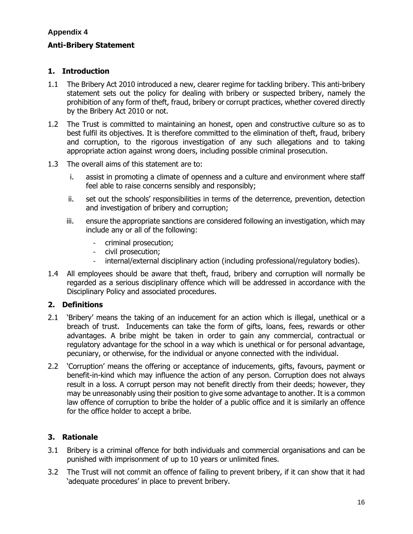#### **Appendix 4**

#### **Anti-Bribery Statement**

#### **1. Introduction**

- 1.1 The Bribery Act 2010 introduced a new, clearer regime for tackling bribery. This anti-bribery statement sets out the policy for dealing with bribery or suspected bribery, namely the prohibition of any form of theft, fraud, bribery or corrupt practices, whether covered directly by the Bribery Act 2010 or not.
- 1.2 The Trust is committed to maintaining an honest, open and constructive culture so as to best fulfil its objectives. It is therefore committed to the elimination of theft, fraud, bribery and corruption, to the rigorous investigation of any such allegations and to taking appropriate action against wrong doers, including possible criminal prosecution.
- 1.3 The overall aims of this statement are to:
	- i. assist in promoting a climate of openness and a culture and environment where staff feel able to raise concerns sensibly and responsibly;
	- ii. set out the schools' responsibilities in terms of the deterrence, prevention, detection and investigation of bribery and corruption;
	- iii. ensure the appropriate sanctions are considered following an investigation, which may include any or all of the following:
		- criminal prosecution;
		- civil prosecution;
		- internal/external disciplinary action (including professional/regulatory bodies).
- 1.4 All employees should be aware that theft, fraud, bribery and corruption will normally be regarded as a serious disciplinary offence which will be addressed in accordance with the Disciplinary Policy and associated procedures.

#### **2. Definitions**

- 2.1 'Bribery' means the taking of an inducement for an action which is illegal, unethical or a breach of trust. Inducements can take the form of gifts, loans, fees, rewards or other advantages. A bribe might be taken in order to gain any commercial, contractual or regulatory advantage for the school in a way which is unethical or for personal advantage, pecuniary, or otherwise, for the individual or anyone connected with the individual.
- 2.2 'Corruption' means the offering or acceptance of inducements, gifts, favours, payment or benefit-in-kind which may influence the action of any person. Corruption does not always result in a loss. A corrupt person may not benefit directly from their deeds; however, they may be unreasonably using their position to give some advantage to another. It is a common law offence of corruption to bribe the holder of a public office and it is similarly an offence for the office holder to accept a bribe.

#### **3. Rationale**

- 3.1 Bribery is a criminal offence for both individuals and commercial organisations and can be punished with imprisonment of up to 10 years or unlimited fines.
- 3.2 The Trust will not commit an offence of failing to prevent bribery, if it can show that it had 'adequate procedures' in place to prevent bribery.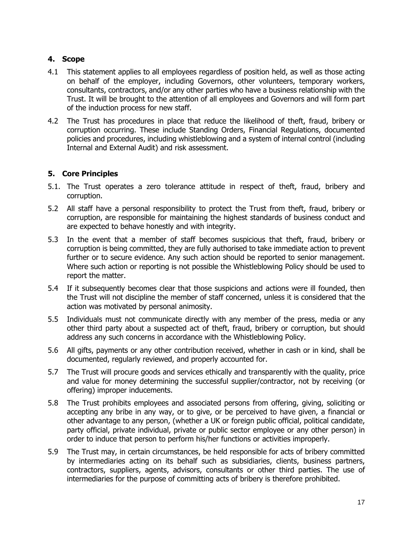#### **4. Scope**

- 4.1 This statement applies to all employees regardless of position held, as well as those acting on behalf of the employer, including Governors, other volunteers, temporary workers, consultants, contractors, and/or any other parties who have a business relationship with the Trust. It will be brought to the attention of all employees and Governors and will form part of the induction process for new staff.
- 4.2 The Trust has procedures in place that reduce the likelihood of theft, fraud, bribery or corruption occurring. These include Standing Orders, Financial Regulations, documented policies and procedures, including whistleblowing and a system of internal control (including Internal and External Audit) and risk assessment.

# **5. Core Principles**

- 5.1. The Trust operates a zero tolerance attitude in respect of theft, fraud, bribery and corruption.
- 5.2 All staff have a personal responsibility to protect the Trust from theft, fraud, bribery or corruption, are responsible for maintaining the highest standards of business conduct and are expected to behave honestly and with integrity.
- 5.3 In the event that a member of staff becomes suspicious that theft, fraud, bribery or corruption is being committed, they are fully authorised to take immediate action to prevent further or to secure evidence. Any such action should be reported to senior management. Where such action or reporting is not possible the Whistleblowing Policy should be used to report the matter.
- 5.4 If it subsequently becomes clear that those suspicions and actions were ill founded, then the Trust will not discipline the member of staff concerned, unless it is considered that the action was motivated by personal animosity.
- 5.5 Individuals must not communicate directly with any member of the press, media or any other third party about a suspected act of theft, fraud, bribery or corruption, but should address any such concerns in accordance with the Whistleblowing Policy.
- 5.6 All gifts, payments or any other contribution received, whether in cash or in kind, shall be documented, regularly reviewed, and properly accounted for.
- 5.7 The Trust will procure goods and services ethically and transparently with the quality, price and value for money determining the successful supplier/contractor, not by receiving (or offering) improper inducements.
- 5.8 The Trust prohibits employees and associated persons from offering, giving, soliciting or accepting any bribe in any way, or to give, or be perceived to have given, a financial or other advantage to any person, (whether a UK or foreign public official, political candidate, party official, private individual, private or public sector employee or any other person) in order to induce that person to perform his/her functions or activities improperly.
- 5.9 The Trust may, in certain circumstances, be held responsible for acts of bribery committed by intermediaries acting on its behalf such as subsidiaries, clients, business partners, contractors, suppliers, agents, advisors, consultants or other third parties. The use of intermediaries for the purpose of committing acts of bribery is therefore prohibited.